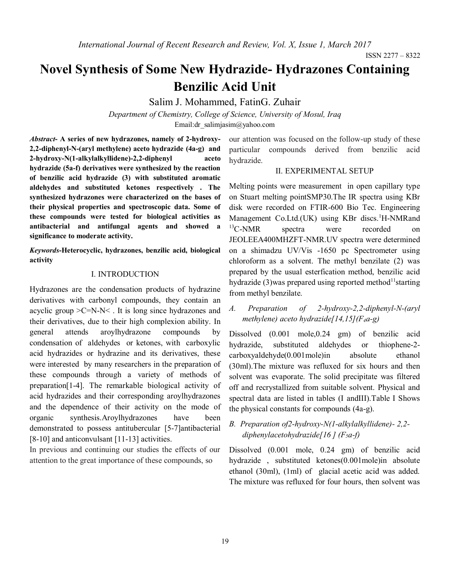# **Novel Synthesis of Some New Hydrazide- Hydrazones Containing Benzilic Acid Unit**

Salim J. Mohammed, FatinG. Zuhair

*Department of Chemistry, College of Science, University of Mosul, Iraq* Email:dr\_salimjasim@yahoo.com

*Abstract***- A series of new hydrazones, namely of 2-hydroxy-2,2-diphenyl-N-(aryl methylene) aceto hydrazide (4a-g) and 2-hydroxy-N(1-alkylalkyllidene)-2,2-diphenyl aceto hydrazide (5a-f) derivatives were synthesized by the reaction of benzilic acid hydrazide (3) with substituted aromatic aldehydes and substituted ketones respectively . The synthesized hydrazones were characterized on the bases of their physical properties and spectroscopic data. Some of these compounds were tested for biological activities as antibacterial and antifungal agents and showed a significance to moderate activity.**

*Keywords***-Heterocyclic, hydrazones, benzilic acid, biological activity**

#### I. INTRODUCTION

Hydrazones are the condensation products of hydrazine derivatives with carbonyl compounds, they contain an acyclic group >C=N-N< . It is long since hydrazones and their derivatives, due to their high complexion ability. In general attends aroylhydrazone compounds by condensation of aldehydes or ketones, with carboxylic acid hydrazides or hydrazine and its derivatives, these were interested by many researchers in the preparation of these compounds through a variety of methods of preparation[1-4]. The remarkable biological activity of acid hydrazides and their corresponding aroylhydrazones and the dependence of their activity on the mode of organic synthesis.Aroylhydrazones have been demonstrated to possess antitubercular [5-7]antibacterial [8-10] and anticonvulsant [11-13] activities.

In previous and continuing our studies the effects of our attention to the great importance of these compounds, so

our attention was focused on the follow-up study of these particular compounds derived from benzilic acid hydrazide.

#### II. EXPERIMENTAL SETUP

Melting points were measurement in open capillary type on Stuart melting pointSMP30.The IR spectra using KBr disk were recorded on FTIR-600 Bio Tec. Engineering Management Co.Ltd.(UK) using KBr discs.<sup>1</sup>H-NMRand  $^{13}$ C-NMR spectra were recorded on JEOLEEA400MHZFT-NMR.UV spectra were determined on a shimadzu UV/Vis -1650 pc Spectrometer using chloroform as a solvent. The methyl benzilate (2) was prepared by the usual esterfication method, benzilic acid hydrazide (3)was prepared using reported method<sup>11</sup> starting from methyl benzilate.

*A. Preparation of 2-hydroxy-2,2-diphenyl-N-(aryl methylene) aceto hydrazide[14,15](F4a-g)*

Dissolved (0.001 mole,0.24 gm) of benzilic acid hydrazide, substituted aldehydes or thiophene-2 carboxyaldehyde(0.001mole)in absolute ethanol (30ml).The mixture was refluxed for six hours and then solvent was evaporate. The solid precipitate was filtered off and recrystallized from suitable solvent. Physical and spectral data are listed in tables (I andIII).Table I Shows the physical constants for compounds (4a-g).

## *B. Preparation of2-hydroxy-N(1-alkylalkyllidene)- 2,2 diphenylacetohydrazide[16 ] (F5a-f)*

Dissolved (0.001 mole, 0.24 gm) of benzilic acid hydrazide , substituted ketones(0.001mole)in absolute ethanol (30ml), (1ml) of glacial acetic acid was added. The mixture was refluxed for four hours, then solvent was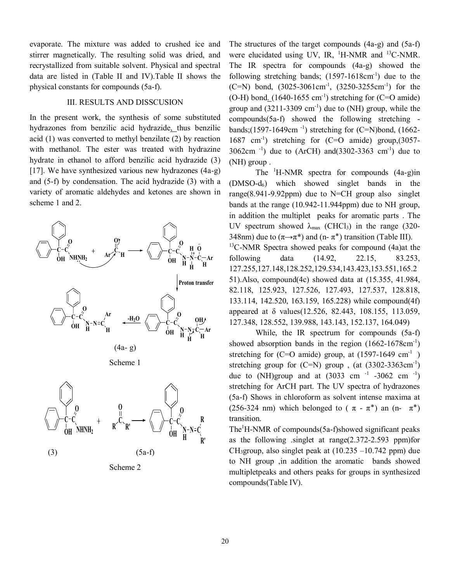evaporate. The mixture was added to crushed ice and stirrer magnetically. The resulting solid was dried, and recrystallized from suitable solvent. Physical and spectral data are listed in (Table II and IV).Table II shows the physical constants for compounds (5a-f).

#### III. RESULTS AND DISSCUSION

In the present work, the synthesis of some substituted hydrazones from benzilic acid hydrazide, thus benzilic acid (1) was converted to methyl benzilate (2) by reaction with methanol. The ester was treated with hydrazine hydrate in ethanol to afford benzilic acid hydrazide (3) [17]. We have synthesized various new hydrazones (4a-g) and (5-f) by condensation. The acid hydrazide (3) with a variety of aromatic aldehydes and ketones are shown in scheme 1 and 2.



Scheme 2

The structures of the target compounds (4a-g) and (5a-f) were elucidated using UV, IR,  $^1$ H-NMR and  $^{13}$ C-NMR. The IR spectra for compounds (4a-g) showed the following stretching bands;  $(1597-1618 \text{cm}^{-1})$  due to the  $(C=N)$  bond,  $(3025-3061cm^{-1})$ ,  $(3250-3255cm^{-1})$  for the  $(O-H)$  bond.  $(1640-1655 \text{ cm}^{-1})$  stretching for  $(C=O \text{ amide})$ group and  $(3211-3309 \text{ cm}^{-1})$  due to (NH) group, while the compounds(5a-f) showed the following stretching bands; $(1597-1649cm^{-1})$  stretching for  $(C=N)$ bond,  $(1662-$ 1687 cm-1 ) stretching for (C=O amide) group,(3057-  $3062 \text{cm}^{-1}$ ) due to (ArCH) and(3302-3363 cm<sup>-1</sup>) due to (NH) group .

The  $\mathrm{H}\text{-}\mathrm{N}\mathrm{M}\mathrm{R}$  spectra for compounds  $(4a-g)\text{in}$ (DMSO-d6) which showed singlet bands in the range(8.941-9.92ppm) due to N=CH group also singlet bands at the range (10.942-11.944ppm) due to NH group, in addition the multiplet peaks for aromatic parts . The UV spectrum showed  $\lambda_{\text{max}}$  (CHCl<sub>3</sub>) in the range (320-348nm) due to  $(\pi \rightarrow \pi^*)$  and  $(n - \pi^*)$  transition (Table III).  $13^{\circ}$ C-NMR Spectra showed peaks for compound (4a)at the following data (14.92, 22.15, 83.253, 127.255,127.148,128.252,129.534,143.423,153.551,165.2 51).Also, compound(4c) showed data at (15.355, 41.984, 82.118, 125.923, 127.526, 127.493, 127.537, 128.818, 133.114, 142.520, 163.159, 165.228) while compound(4f) appeared at δ values(12.526, 82.443, 108.155, 113.059, 127.348, 128.552, 139.988, 143.143, 152.137, 164.049)

While, the IR spectrum for compounds (5a-f) showed absorption bands in the region  $(1662 - 1678 \text{cm}^{-1})$ stretching for (C=O amide) group, at  $(1597-1649 \text{ cm}^{-1})$ stretching group for  $(C=N)$  group,  $(at (3302-3363cm^{-1}))$ due to (NH)group and at  $(3033 \text{ cm}^{-1} -3062 \text{ cm}^{-1})$ stretching for ArCH part. The UV spectra of hydrazones (5a-f) Shows in chloroform as solvent intense maxima at (256-324 nm) which belonged to ( $\pi - \pi^*$ ) an (n-  $\pi^*$ ) transition.

The<sup>1</sup>H-NMR of compounds(5a-f)showed significant peaks as the following .singlet at range(2.372-2.593 ppm)for CH<sub>3</sub>group, also singlet peak at  $(10.235 - 10.742$  ppm) due to NH group ,in addition the aromatic bands showed multipletpeaks and others peaks for groups in synthesized compounds(Table IV).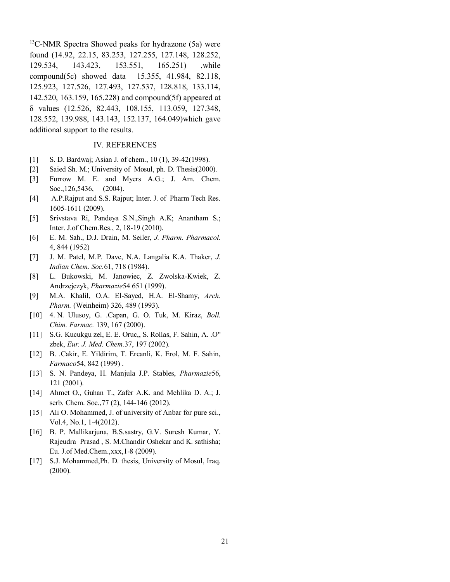$13$ C-NMR Spectra Showed peaks for hydrazone (5a) were found (14.92, 22.15, 83.253, 127.255, 127.148, 128.252, 129.534, 143.423, 153.551, 165.251) ,while compound(5c) showed data 15.355, 41.984, 82.118, 125.923, 127.526, 127.493, 127.537, 128.818, 133.114, 142.520, 163.159, 165.228) and compound(5f) appeared at δ values (12.526, 82.443, 108.155, 113.059, 127.348, 128.552, 139.988, 143.143, 152.137, 164.049)which gave additional support to the results.

#### IV. REFERENCES

- [1] S. D. Bardwaj; Asian J. of chem., 10 (1), 39-42(1998).
- [2] Saied Sh. M.; University of Mosul, ph. D. Thesis(2000).
- [3] Furrow M. E. and Myers A.G.; J. Am. Chem. Soc., 126, 5436, (2004).
- [4] A.P.Rajput and S.S. Rajput; Inter. J. of Pharm Tech Res. 1605-1611 (2009).
- [5] Srivstava Ri, Pandeya S.N.,Singh A.K; Anantham S.; Inter. J.of Chem.Res., 2, 18-19 (2010).
- [6] E. M. Sah., D.J. Drain, M. Seiler, *J. Pharm. Pharmacol.* 4, 844 (1952)
- [7] J. M. Patel, M.P. Dave, N.A. Langalia K.A. Thaker, *J. Indian Chem. Soc.*61, 718 (1984).
- [8] L. Bukowski, M. Janowiec, Z. Zwolska-Kwiek, Z. Andrzejczyk, *Pharmazie*54 651 (1999).
- [9] M.A. Khalil, O.A. El-Sayed, H.A. El-Shamy, *Arch. Pharm.* (Weinheim) 326, 489 (1993).
- [10] 4. N. Ulusoy, G. .Capan, G. O. Tuk, M. Kiraz, *Boll. Chim. Farmac.* 139, 167 (2000).
- [11] S.G. Kucukgu zel, E. E. Oruc,, S. Rollas, F. Sahin, A. .O" zbek, *Eur. J. Med. Chem.*37, 197 (2002).
- [12] B. .Cakir, E. Yildirim, T. Ercanli, K. Erol, M. F. Sahin, *Farmaco*54, 842 (1999) .
- [13] S. N. Pandeya, H. Manjula J.P. Stables, *Pharmazie*56, 121 (2001).
- [14] Ahmet O., Guhan T., Zafer A.K. and Mehlika D. A.; J. serb. Chem. Soc.,77 (2), 144-146 (2012).
- [15] Ali O. Mohammed, J. of university of Anbar for pure sci., Vol.4, No.1, 1-4(2012).
- [16] B. P. Mallikarjuna, B.S.sastry, G.V. Suresh Kumar, Y. Rajeudra Prasad , S. M.Chandir Oshekar and K. sathisha; Eu. J.of Med.Chem.,xxx,1-8 (2009).
- [17] S.J. Mohammed, Ph. D. thesis, University of Mosul, Iraq. (2000).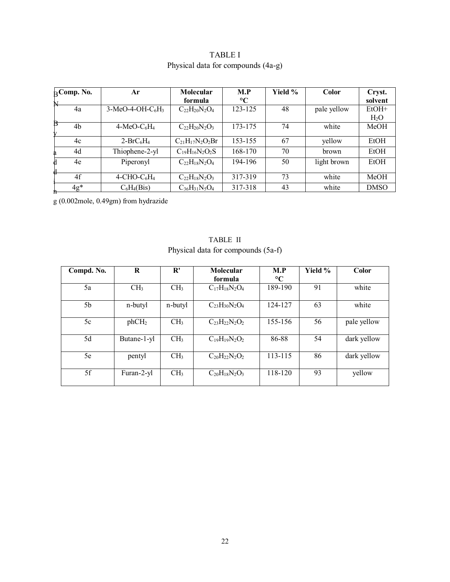| $B$ Comp. No.<br>N | Ar                                     | Molecular<br>formula   | M.P<br>$\rm ^{\circ}C$ | Yield % | Color       | Cryst.<br>solvent           |  |
|--------------------|----------------------------------------|------------------------|------------------------|---------|-------------|-----------------------------|--|
| 4a                 | $3-MeO-4-OH-C6H3$                      | $C_{22}H_{20}N_2O_4$   | 123-125                | 48      | pale yellow | $EtOH+$<br>H <sub>2</sub> O |  |
| B<br>4b            | $4-MeO-C6H4$                           | $C_{22}H_{20}N_2O_3$   | 173-175                | 74      | white       | MeOH                        |  |
| 4c                 | $2-BrC_6H_4$                           | $C_{21}H_{17}N_2O_2Br$ | 153-155                | 67      | yellow      | EtOH                        |  |
| 4d                 | Thiophene-2-yl                         | $C_{19}H_{16}N_2O_2S$  | 168-170                | 70      | brown       | EtOH                        |  |
| 4e<br>d            | Piperonyl                              | $C_{22}H_{18}N_2O_4$   | 194-196                | 50      | light brown | EtOH                        |  |
| ш<br>4f            | $4$ -CHO-C <sub>6</sub> H <sub>4</sub> | $C_{22}H_{18}N_2O_3$   | 317-319                | 73      | white       | MeOH                        |  |
| $4g*$              | $C_6H_4(Bis)$                          | $C_{36}H_{31}N_5O_4$   | 317-318                | 43      | white       | <b>DMSO</b>                 |  |

# TABLE I Physical data for compounds (4a-g)

g (0.002mole, 0.49gm) from hydrazide

| Compd. No.     | R                 | $\mathbf{R}^{\prime}$ | Molecular            | M.P             | Yield % | Color       |
|----------------|-------------------|-----------------------|----------------------|-----------------|---------|-------------|
|                |                   |                       | formula              | $\rm ^{\circ}C$ |         |             |
| 5a             | CH <sub>3</sub>   | CH <sub>3</sub>       | $C_{17}H_{18}N_2O_4$ | 189-190         | 91      | white       |
| 5 <sub>b</sub> | n-butyl           | n-butyl               | $C_{23}H_{30}N_2O_4$ | 124-127         | 63      | white       |
| 5c             | phCH <sub>2</sub> | CH <sub>3</sub>       | $C_{23}H_{22}N_2O_2$ | 155-156         | 56      | pale yellow |
| 5d             | Butane-1-yl       | CH <sub>3</sub>       | $C_{19}H_{19}N_2O_2$ | 86-88           | 54      | dark yellow |
| 5e             | pentyl            | CH <sub>3</sub>       | $C_{20}H_{22}N_2O_2$ | 113-115         | 86      | dark yellow |
| 5f             | Furan-2-yl        | CH <sub>3</sub>       | $C_{20}H_{18}N_2O_3$ | 118-120         | 93      | yellow      |

TABLE II Physical data for compounds (5a-f)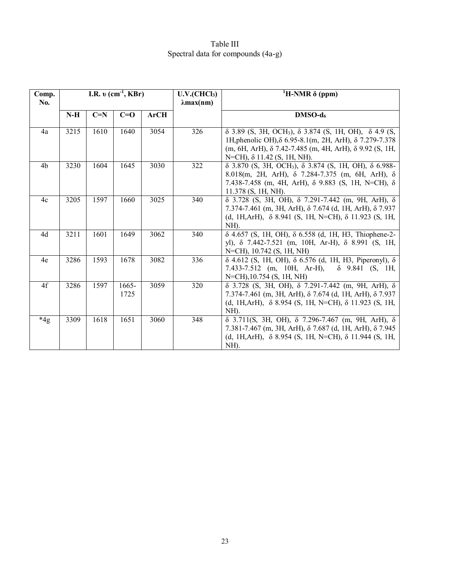## Table III Spectral data for compounds (4a-g)

| Comp.<br><b>No.</b> | I.R. $v$ (cm <sup>-1</sup> , KBr) |       | U.V.(CHCl <sub>3</sub> )<br>$\lambda$ max(nm) | <sup>1</sup> H-NMR $\delta$ (ppm) |     |                                                                                                                                                                                                                                                       |
|---------------------|-----------------------------------|-------|-----------------------------------------------|-----------------------------------|-----|-------------------------------------------------------------------------------------------------------------------------------------------------------------------------------------------------------------------------------------------------------|
|                     | $N-H$                             | $C=N$ | $C=O$                                         | <b>ArCH</b>                       |     | $DMSO-d6$                                                                                                                                                                                                                                             |
| 4a                  | 3215                              | 1610  | 1640                                          | 3054                              | 326 | $\delta$ 3.89 (S, 3H, OCH <sub>3</sub> ), $\delta$ 3.874 (S, 1H, OH), $\delta$ 4.9 (S,<br>1H, phenolic OH), δ 6.95-8.1(m, 2H, ArH), δ 7.279-7.378<br>(m, 6H, ArH), δ 7.42-7.485 (m, 4H, ArH), δ 9.92 (S, 1H,<br>$N=CH$ ), $\delta$ 11.42 (S, 1H, NH). |
| 4b                  | 3230                              | 1604  | 1645                                          | 3030                              | 322 | $\delta$ 3.870 (S, 3H, OCH <sub>3</sub> ), $\delta$ 3.874 (S, 1H, OH), $\delta$ 6.988-<br>8.018(m, 2H, ArH), $\delta$ 7.284-7.375 (m, 6H, ArH), $\delta$<br>7.438-7.458 (m, 4H, ArH), $\delta$ 9.883 (S, 1H, N=CH), $\delta$<br>$11.378$ (S, 1H, NH). |
| 4c                  | 3205                              | 1597  | 1660                                          | 3025                              | 340 | $\delta$ 3.728 (S, 3H, OH), $\delta$ 7.291-7.442 (m, 9H, ArH), $\delta$<br>7.374-7.461 (m, 3H, ArH), $\delta$ 7.674 (d, 1H, ArH), $\delta$ 7.937<br>(d, 1H, ArH), $\delta$ 8.941 (S, 1H, N=CH), $\delta$ 11.923 (S, 1H,<br>NH).                       |
| 4d                  | 3211                              | 1601  | 1649                                          | 3062                              | 340 | $\delta$ 4.657 (S, 1H, OH), $\delta$ 6.558 (d, 1H, H3, Thiophene-2-<br>yl), δ 7.442-7.521 (m, 10H, Ar-H), δ 8.991 (S, 1H,<br>N=CH), 10.742 (S, 1H, NH)                                                                                                |
| 4e                  | 3286                              | 1593  | 1678                                          | 3082                              | 336 | $\delta$ 4.612 (S, 1H, OH), $\delta$ 6.576 (d, 1H, H3, Piperonyl), $\delta$<br>7.433-7.512 (m, 10H, Ar-H), $\delta$ 9.841 (S, 1H,<br>N=CH), 10.754 (S, 1H, NH)                                                                                        |
| 4f                  | 3286                              | 1597  | 1665-<br>1725                                 | 3059                              | 320 | $\delta$ 3.728 (S, 3H, OH), $\delta$ 7.291-7.442 (m, 9H, ArH), $\delta$<br>7.374-7.461 (m, 3H, ArH), $\delta$ 7.674 (d, 1H, ArH), $\delta$ 7.937<br>(d, 1H, ArH), $\delta$ 8.954 (S, 1H, N=CH), $\delta$ 11.923 (S, 1H,<br>NH).                       |
| $*4g$               | 3309                              | 1618  | 1651                                          | 3060                              | 348 | $\delta$ 3.711(S, 3H, OH), $\delta$ 7.296-7.467 (m, 9H, ArH), $\delta$<br>7.381-7.467 (m, 3H, ArH), $\delta$ 7.687 (d, 1H, ArH), $\delta$ 7.945<br>(d, 1H, ArH), $\delta$ 8.954 (S, 1H, N=CH), $\delta$ 11.944 (S, 1H,<br>NH).                        |